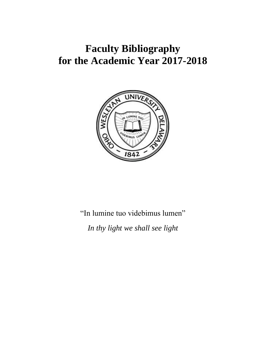## **Faculty Bibliography for the Academic Year 2017-2018**



"In lumine tuo videbimus lumen"

*In thy light we shall see light*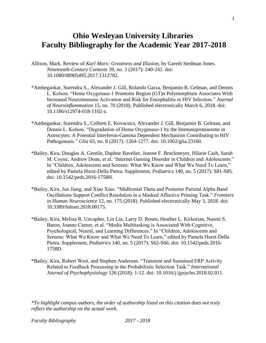## **Ohio Wesleyan University Libraries Faculty Bibliography for the Academic Year 2017-2018**

- Allison, Mark. Review of *Karl Marx: Greatness and Illusion*, by Gareth Stedman Jones. *Nineteenth-Century Contexts* 39, no. 3 (2017): 240-242. doi: 10.1080/08905495.2017.1312782.
- \*Ambegaokar, Surendra S., Alexander J. Gill, Rolando Garza, Benjamin B. Gelman, and Dennis L. Kolson. "Heme Oxygenase-1 Promoter Region (GT)n Polymorphism Associates With Increased Neuroimmune Activation and Risk for Encephalitis in HIV Infection." *Journal of Neuroinflammation* 15, no. 70 (2018). Published electronically March 6, 2018. doi: 10.1186/s12974-018-1102-z.
- \*Ambegaokar, Surendra S., Colleen E. Kovacsics, Alexander J. Gill, Benjamin B. Gelman, and Dennis L. Kolson. "Degradation of Heme Oxygenase-1 by the Immunoproteasome in Astrocytes: A Potential Interferon-Gamma Dependent Mechanism Contributing to HIV Pathogenesis." *Glia* 65, no. 8 (2017): 1264-1277. doi: 10.1002/glia.23160.
- \*Bailey, Kira, Douglas A. Gentile, Daphne Bavelier, Jeanne F. Brockmeyer, Hilarie Cash, Sarah M. Coyne, Andrew Doan, et al. "Internet Gaming Disorder in Children and Adolescents." In "Children, Adolescents and Screens: What We Know and What We Need To Learn," edited by Pamela Hurst-Della Pietra. Supplement, *Pediatrics* 140, no. 5 (2017): S81-S85. doi: 10.1542/peds.2016-1758H.
- \*Bailey, Kira, Jun Jiang, and Xiao Xiao. "Midfrontal Theta and Posterior Parietal Alpha Band Oscillations Support Conflict Resolution in a Masked Affective Priming Task." *Frontiers in Human Neuroscience* 12, no. 175 (2018). Published electronically May 3, 2018. doi: 10.3389/fnhum.2018.00175.
- \*Bailey, Kira, Melina R. Uncapher, Lin Lin, Larry D. Rosen, Heather L. Kirkorian, Naomi S. Baron, Joanne Cantor, et al. "Media Multitasking is Associated With Cognitive, Psychological, Neural, and Learning Differences." In "Children, Adolescents and Screens: What We Know and What We Need To Learn," edited by Pamela Hurst-Della Pietra. Supplement, *Pediatrics* 140, no. 5 (2017): S62-S66. doi: 10.1542/peds.2016- 1758D.
- \*Bailey, Kira, Robert West, and Stephen Anderson. "Transient and Sustained ERP Activity Related to Feedback Processing in the Probabilistic Selection Task." *International Journal of Psychophysiology* 126 (2018): 1-12. doi: 10.1016/j.ijpsycho.2018.02.011.

*\*To highlight campus authors, the order of authorship listed on this citation does not truly reflect the authorship on the actual work.*

*Faculty Bibliography 2017 - 2018*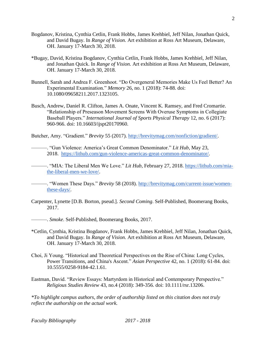- Bogdanov, Kristina, Cynthia Cetlin, Frank Hobbs, James Krehbiel, Jeff Nilan, Jonathan Quick, and David Bugay. In *Range of Vision.* Art exhibition at Ross Art Museum, Delaware, OH. January 17-March 30, 2018.
- \*Bugay, David, Kristina Bogdanov, Cynthia Cetlin, Frank Hobbs, James Krehbiel, Jeff Nilan, and Jonathan Quick. In *Range of Vision.* Art exhibition at Ross Art Museum, Delaware, OH. January 17-March 30, 2018.
- Bunnell, Sarah and Andrea F. Greenhoot. "Do Overgeneral Memories Make Us Feel Better? An Experimental Examination." *Memory* 26, no. 1 (2018): 74-88. doi: 10.1080/09658211.2017.1323105.
- Busch, Andrew, Daniel R. Clifton, James A. Onate, Vincent K. Ramsey, and Fred Cromartie. "Relationship of Preseason Movement Screens With Overuse Symptoms in Collegiate Baseball Players." *International Journal of Sports Physical Therapy* 12, no. 6 (2017): 960-966. doi: 10.16603/ijspt20170960.

Butcher, Amy. "Gradient." *Brevity* 55 (2017). [http://brevitymag.com/nonfiction/gradient/.](http://brevitymag.com/nonfiction/gradient/)

———. "Gun Violence: America's Great Common Denominator." *Lit Hub*, May 23, 2018. [https://lithub.com/gun-violence-americas-great-common-denominator/.](https://lithub.com/gun-violence-americas-great-common-denominator/)

———. "MIA: The Liberal Men We Love." *Lit Hub*, February 27, 2018. [https://lithub.com/mia](https://lithub.com/mia-the-liberal-men-we-love/)[the-liberal-men-we-love/.](https://lithub.com/mia-the-liberal-men-we-love/)

———. "Women These Days." *Brevity* 58 (2018). [http://brevitymag.com/current-issue/women](http://brevitymag.com/current-issue/women-these-days/)[these-days/.](http://brevitymag.com/current-issue/women-these-days/)

Carpenter, Lynette [D.B. Borton, pseud.]. *Second Coming*. Self-Published, Boomerang Books, 2017.

———. *Smoke*. Self-Published, Boomerang Books, 2017.

- \*Cetlin, Cynthia, Kristina Bogdanov, Frank Hobbs, James Krehbiel, Jeff Nilan, Jonathan Quick, and David Bugay. In *Range of Vision.* Art exhibition at Ross Art Museum, Delaware, OH. January 17-March 30, 2018.
- Choi, Ji Young. "Historical and Theoretical Perspectives on the Rise of China: Long Cycles, Power Transitions, and China's Ascent." *Asian Perspective* 42, no. 1 (2018): 61-84. doi: 10.5555/0258-9184-42.1.61.
- Eastman, David. "Review Essays: Martyrdom in Historical and Contemporary Perspective." *Religious Studies Review* 43, no.4 (2018): 349-356. doi: 10.1111/rsr.13206.

*\*To highlight campus authors, the order of authorship listed on this citation does not truly reflect the authorship on the actual work.*

*Faculty Bibliography 2017 - 2018*

2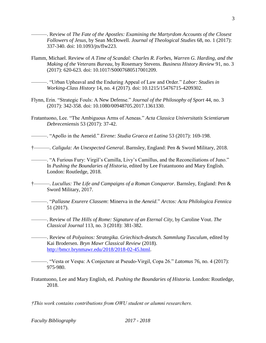———. Review of *The Fate of the Apostles: Examining the Martyrdom Accounts of the Closest Followers of Jesus*, by Sean McDowell. *Journal of Theological Studies* 68, no. 1 (2017): 337-340. doi: 10.1093/jts/flw223.

3

Flamm, Michael. Review of *A Time of Scandal: Charles R. Forbes, Warren G. Harding, and the Making of the Veterans Bureau*, by Rosemary Stevens. *Business History Review* 91, no. 3 (2017): 620-623. doi: 10.1017/S0007680517001209.

———. "Urban Upheaval and the Enduring Appeal of Law and Order." *Labor: Studies in Working-Class History* 14, no. 4 (2017). doi: 10.1215/15476715-4209302.

- Flynn, Erin. "Strategic Fouls: A New Defense." *Journal of the Philosophy of Sport* 44, no. 3 (2017): 342-358. doi: 10.1080/00948705.2017.1361330.
- Fratantuono, Lee. "The Ambiguous Arms of Aeneas." *Acta Classica Universitatis Scientiarum Debreceniensis* 53 (2017): 37-42.

———. "Apollo in the Aeneid." *Eirene: Studia Graeca et Latina* 53 (2017): 169-198.

†———. *Caligula: An Unexpected General*. Barnsley, England: Pen & Sword Military, 2018.

———. "A Furious Fury: Virgil's Camilla, Livy's Camillus, and the Reconciliations of Juno." In *Pushing the Boundaries of Historia*, edited by Lee Fratantuono and Mary English. London: Routledge, 2018.

- †———. *Lucullus: The Life and Campaigns of a Roman Conqueror*. Barnsley, England: Pen & Sword Military, 2017.
	- ———. "*Pallasne Exurere Classem*: Minerva in the *Aeneid*." *Arctos: Acta Philologica Fennica*  51 (2017).
- ———. Review of *The Hills of Rome: Signature of an Eternal City*, by Caroline Vout. *The Classical Journal* 113, no. 3 (2018): 381-382.
- ———. Review of *Polyainos: Strategika. Griechisch-deutsch. Sammlung Tusculum*, edited by Kai Brodersen. *Bryn Mawr Classical Review* (2018). [http://bmcr.brynmawr.edu/2018/2018-02-45.html.](http://bmcr.brynmawr.edu/2018/2018-02-45.html)
- ———. "Vesta or Vespa: A Conjecture at Pseudo-Virgil, Copa 26." *Latomus* 76, no. 4 (2017): 975-980.
- Fratantuono, Lee and Mary English, ed. *Pushing the Boundaries of Historia*. London: Routledge, 2018.

*†This work contains contributions from OWU student or alumni researchers.*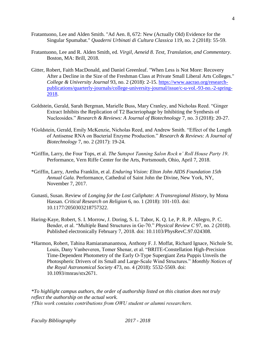- Fratantuono, Lee and Alden Smith. "Ad Aen. 8, 672: New (Actually Old) Evidence for the Singular Spumabat." *Quaderni Urbinati di Cultura Classica* 119, no. 2 (2018): 55-59.
- Fratantuono, Lee and R. Alden Smith, ed. *Virgil, Aeneid 8. Text, Translation, and Commentary*. Boston, MA: Brill, 2018.
- Gitter, Robert, Faith MacDonald, and Daniel Greenleaf. "When Less is Not More: Recovery After a Decline in the Size of the Freshman Class at Private Small Liberal Arts Colleges." *College & University Journal* 93, no. 2 (2018): 2-15. [https://www.aacrao.org/research](https://www.aacrao.org/research-publications/quarterly-journals/college-university-journal/issue/c-u-vol.-93-no.-2-spring-2018)[publications/quarterly-journals/college-university-journal/issue/c-u-vol.-93-no.-2-spring-](https://www.aacrao.org/research-publications/quarterly-journals/college-university-journal/issue/c-u-vol.-93-no.-2-spring-2018)[2018.](https://www.aacrao.org/research-publications/quarterly-journals/college-university-journal/issue/c-u-vol.-93-no.-2-spring-2018)
- Goldstein, Gerald, Sarah Bergman, Marielle Buss, Mary Cranley, and Nicholas Reed. "Ginger Extract Inhibits the Replication of T2 Bacteriophage by Inhibiting the Synthesis of Nucleosides." *Research & Reviews: A Journal of Biotechnology* 7, no. 3 (2018): 20-27.
- †Goldstein, Gerald, Emily McKenzie, Nicholas Reed, and Andrew Smith. "Effect of the Length of Antisense RNA on Bacterial Enzyme Production." *Research & Reviews: A Journal of Biotechnology* 7, no. 2 (2017): 19-24.
- \*Griffin, Larry, the Four Tops, et al. *The Sunspot Tanning Salon Rock n' Roll House Party 19*. Performance, Vern Riffe Center for the Arts, Portsmouth, Ohio, April 7, 2018.
- \*Griffin, Larry, Aretha Franklin, et al. *Enduring Vision: Elton John AIDS Foundation 15th Annual Gala*. Performance, Cathedral of Saint John the Divine, New York, NY, November 7, 2017.
- Gunasti, Susan. Review of *Longing for the Lost Caliphate: A Transregional History*, by Mona Hassan. *Critical Research on Religion* 6, no. 1 (2018): 101-103. doi: 10.1177/2050303218757322.
- Haring-Kaye, Robert, S. I. Morrow, J. Doring, S. L. Tabor, K. Q. Le, P. R. P. Allegro, P. C. Bender, et al. "Multiple Band Structures in Ge-70." *Physical Review C* 97, no. 2 (2018). Published electronically February 7, 2018. doi: 10.1103/PhysRevC.97.024308.
- \*Harmon, Robert, Tahina Ramiaramanantsoa, Anthony F. J. Moffat, Richard Ignace, Nichole St. Louis, Dany Vanbeveren, Tomer Shenar, et al. "BRITE-Constellation High-Precision Time-Dependent Photometry of the Early O-Type Supergiant Zeta Puppis Unveils the Photospheric Drivers of its Small and Large-Scale Wind Structures." *Monthly Notices of the Royal Astronomical Society* 473, no. 4 (2018): 5532-5569. doi: 10.1093/mnras/stx2671.

*\*To highlight campus authors, the order of authorship listed on this citation does not truly reflect the authorship on the actual work. †This work contains contributions from OWU student or alumni researchers.*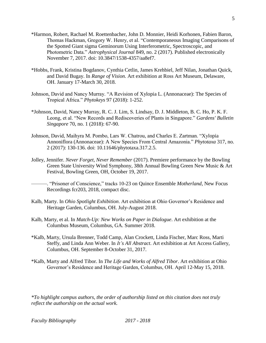- \*Harmon, Robert, Rachael M. Roettenbacher, John D. Monnier, Heidi Korhonen, Fabien Baron, Thomas Hackman, Gregory W. Henry, et al. "Contemporaneous Imaging Comparisons of the Spotted Giant sigma Geminorum Using Interferometric, Spectroscopic, and Photometric Data." *Astrophysical Journal* 849, no. 2 (2017). Published electronically November 7, 2017. doi: 10.3847/1538-4357/aa8ef7.
- \*Hobbs, Frank, Kristina Bogdanov, Cynthia Cetlin, James Krehbiel, Jeff Nilan, Jonathan Quick, and David Bugay. In *Range of Vision.* Art exhibition at Ross Art Museum, Delaware, OH. January 17-March 30, 2018.
- Johnson, David and Nancy Murray. "A Revision of Xylopia L. (Annonaceae): The Species of Tropical Africa." *Phytokeys* 97 (2018): 1-252.
- \*Johnson, David, Nancy Murray, R. C. J. Lim, S. Lindsay, D. J. Middleton, B. C. Ho, P. K. F. Leong, et al. "New Records and Rediscoveries of Plants in Singapore." *Gardens' Bulletin Singapore* 70, no. 1 (2018): 67-90.
- Johnson, David, Maihyra M. Pombo, Lars W. Chatrou, and Charles E. Zartman. "Xylopia Annoniflora (Annonaceae): A New Species From Central Amazonia." *Phytotaxa* 317, no. 2 (2017): 130-136. doi: 10.11646/phytotaxa.317.2.5.
- Jolley, Jennifer. *Never Forget, Never Remember* (2017). Premiere performance by the Bowling Green State University Wind Symphony, 38th Annual Bowling Green New Music & Art Festival, Bowling Green, OH, October 19, 2017.

———. "Prisoner of Conscience," tracks 10-23 on Quince Ensemble *Motherland*, New Focus Recordings fcr203, 2018, compact disc.

- Kalb, Marty. In *Ohio Spotlight Exhibition*. Art exhibition at Ohio Governor's Residence and Heritage Garden, Columbus, OH. July-August 2018.
- Kalb, Marty, et al. In *Match-Up: New Works on Paper in Dialogue*. Art exhibition at the Columbus Museum, Columbus, GA. Summer 2018.
- \*Kalb, Marty, Ursula Brenner, Todd Camp, Alan Crockett, Linda Fischer, Marc Ross, Marti Steffy, and Linda Ann Weber. In *It's All Abstract*. Art exhibition at Art Access Gallery, Columbus, OH. September 8-October 31, 2017.
- \*Kalb, Marty and Alfred Tibor. In *The Life and Works of Alfred Tibor*. Art exhibition at Ohio Governor's Residence and Heritage Garden, Columbus, OH. April 12-May 15, 2018.

*\*To highlight campus authors, the order of authorship listed on this citation does not truly reflect the authorship on the actual work.*

5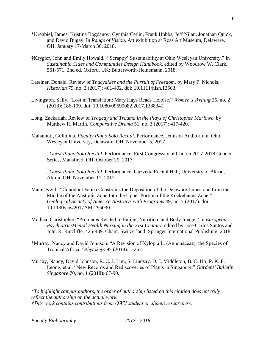- \*Krehbiel, James, Kristina Bogdanov, Cynthia Cetlin, Frank Hobbs, Jeff Nilan, Jonathan Quick, and David Bugay. In *Range of Vision.* Art exhibition at Ross Art Museum, Delaware, OH. January 17-March 30, 2018.
- †Krygier, John and Emily Howald. "'Scrappy' Sustainability at Ohio Wesleyan University." In *Sustainable Cities and Communities Design Handbook*, edited by Woodrow W. Clark, 561-571. 2nd ed. Oxford, UK: Butterworth-Heinemann, 2018.
- Lateiner, Donald. Review of *Thucydides and the Pursuit of Freedom*, by Mary P. Nichols. *Historian* 79, no. 2 (2017): 401-402. doi: 10.1111/hisn.12563.
- Livingston, Sally. "Lost in Translation: Mary Hays Reads Heloise." *Women's Writing* 25, no. 2 (2018): 186-199. doi: 10.1080/09699082.2017.1388341.
- Long, Zackariah. Review of *Tragedy and Trauma in the Plays of Christopher Marlowe*, by Matthew R. Martin. *Comparative Drama* 51, no. 3 (2017): 417-420.
- Mahamuti, Gulimina. *Faculty Piano Solo Recital.* Performance, Jemison Auditorium, Ohio Wesleyan University, Delaware, OH, November 5, 2017.

———. *Guest Piano Solo Recital*. Performance, First Congressional Church 2017-2018 Concert Series, Mansfield, OH, October 29, 2017.

- ———. *Guest Piano Solo Recital*. Performance, Guzzetta Recital Hall, University of Akron, Akron, OH, November 11, 2017.
- Mann, Keith. "Conodont Fauna Constrains the Deposition of the Delaware Limestone from the Middle of the Australis Zone Into the Upper Portion of the Kockelianus Zone." *Geological Society of America Abstracts with Programs* 49, no. 7 (2017). doi: 10.1130/abs/2017AM-295030.
- Modica, Christopher. "Problems Related to Eating, Nutrition, and Body Image." In *European Psychiatric/Mental Health Nursing in the 21st Century*, edited by Jose Carlos Santos and John R. Rutcliffe, 425-439. Cham, Switzerland: Springer International Publishing, 2018.
- \*Murray, Nancy and David Johnson. "A Revision of Xylopia L. (Annonaceae): the Species of Tropical Africa." *Phytokeys* 97 (2018): 1-252.
- Murray, Nancy, David Johnson, R. C. J. Lim, S. Lindsay, D. J. Middleton, B. C. Ho, P. K. F. Leong, et al. "New Records and Rediscoveries of Plants in Singapore." *Gardens' Bulletin Singapore* 70, no. 1 (2018): 67-90.

*\*To highlight campus authors, the order of authorship listed on this citation does not truly reflect the authorship on the actual work. †This work contains contributions from OWU student or alumni researchers.*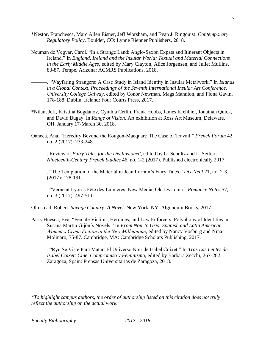- \*Nestor, Franchesca, Marc Allen Eisner, Jeff Worsham, and Evan J. Ringquist. *Contemporary Regulatory Policy*. Boulder, CO: Lynne Rienner Publishers, 2018.
- Neuman de Vegvar, Carol. "In a Strange Land: Anglo-Saxon Expats and Itinerant Objects in Ireland." In *England, Ireland and the Insular World: Textual and Material Connections in the Early Middle Ages*, edited by Mary Clayton, Alice Jorgensen, and Juliet Mullins, 83-87. Tempe, Arizona: ACMRS Publications, 2018.
	- ———. "Wayfaring Strangers: A Case Study in Island Identity in Insular Metalwork." In *Islands in a Global Context, Proceedings of the Seventh International Insular Art Conference, University College Galway*, edited by Conor Newman, Mags Mannion, and Fiona Gavin, 178-188. Dublin, Ireland: Four Courts Press, 2017.
- \*Nilan, Jeff, Kristina Bogdanov, Cynthia Cetlin, Frank Hobbs, James Krehbiel, Jonathan Quick, and David Bugay. In *Range of Vision.* Art exhibition at Ross Art Museum, Delaware, OH. January 17-March 30, 2018.
- Oancea, Ana. "Heredity Beyond the Rougon-Macquart: The Case of Travail." *French Forum* 42, no. 2 (2017): 233-248.
	- ———. Review of *Fairy Tales for the Disillusioned*, edited by G. Schultz and L. Seifert. *Nineteenth-Century French Studies* 46, no. 1-2 (2017). Published electronically 2017.
- ———. "The Temptation of the Material in Jean Lorrain's Fairy Tales." *Dix-Neuf* 21, no. 2-3. (2017): 178-191.
- ———. "Verne at Lyon's Fête des Lumières: New Media, Old Dystopia." *Romance Notes* 57, no. 3 (2017): 497-511.

Olmstead, Robert. *Savage Country: A Novel*. New York, NY: Algonquin Books, 2017.

- Paris-Huesca, Eva. "Female Victims, Heroines, and Law Enforcers: Polyphony of Identities in Susana Martín Gijón´s Novels." In *From Noir to Gris: Spanish and Latin American Women's Crime Fiction in the New Millennium*, edited by Nancy Vosburg and Nina Molinaro, 75-87. Cambridge, MA: Cambridge Scholars Publishing, 2017.
	- ———. "Ryu Se Viste Para Matar: El Universo Noir de Isabel Coixet." In *Tras Las Lentes de Isabel Coixet: Cine, Compromiso y Feminismo*, edited by Barbara Zecchi, 267-282. Zaragoza, Spain: Prensas Universitarias de Zaragoza, 2018.

*\*To highlight campus authors, the order of authorship listed on this citation does not truly reflect the authorship on the actual work.*

7